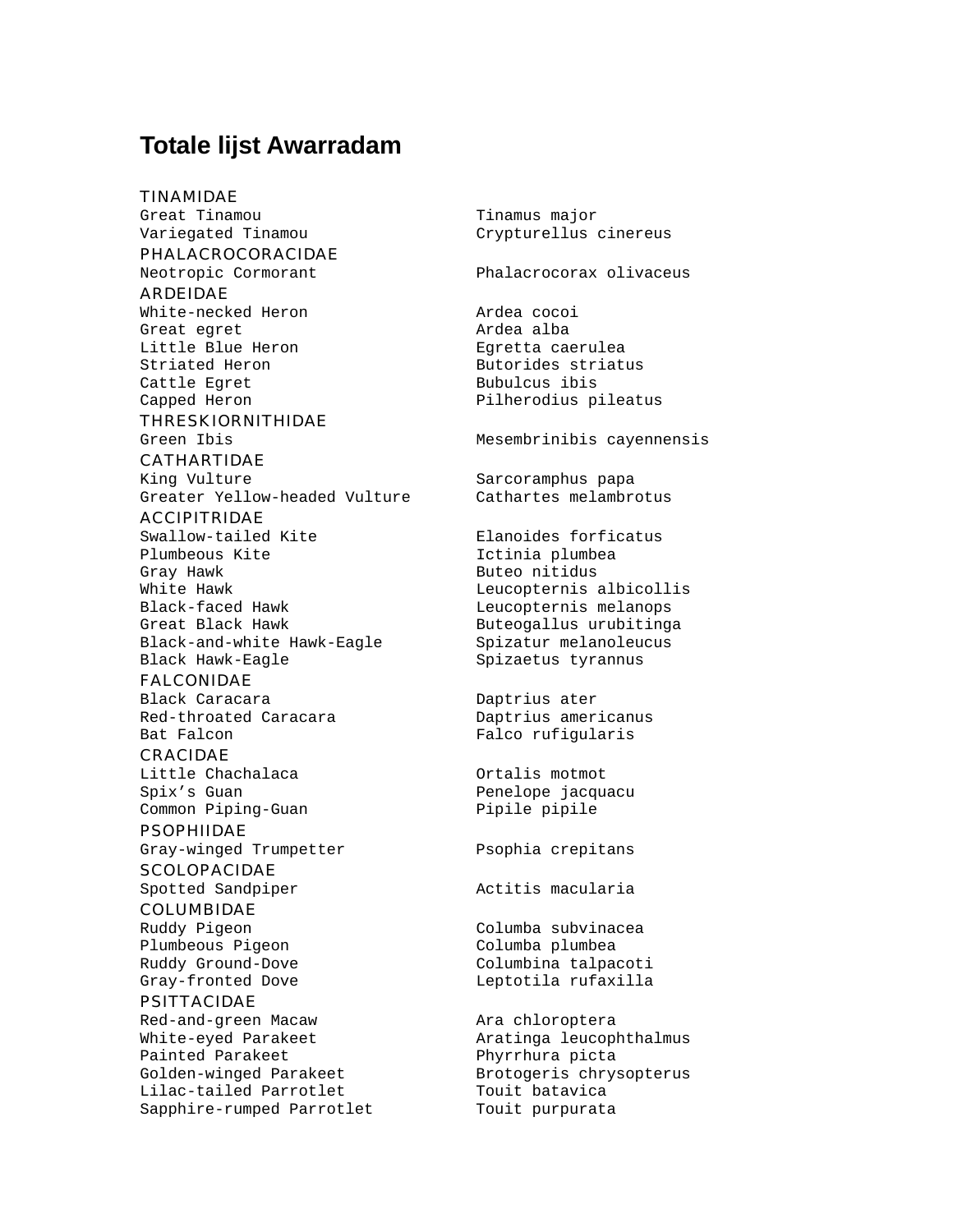## **Totale lijst Awarradam**

TINAMIDAE

Great Tinamou Tinamus major Variegated Tinamou Crypturellus cinereus PHALACROCORACIDAE Neotropic Cormorant Phalacrocorax olivaceus ARDEIDAE White-necked Heron and ardea cocoing the Manuscript Ardea Cocoing Manuscript Ardea Cocoing Manuscript Ardea Cocoing Manuscript Ardea Cocoing Manuscript Ardea Cocoing Manuscript Ardea Cocoing Manuscript Ardea Cocoing Manusc Great egret and alba Little Blue Heron Egretta caerulea Striated Heron **Butorides** striatus Cattle Egret **Bubulcus** ibis Capped Heron **Pilherodius** pileatus THRESKIORNITHIDAE Green Ibis **Mesembrinibis cayennensis** CATHARTIDAE King Vulture Sarcoramphus papa Greater Yellow-headed Vulture Cathartes melambrotus ACCIPITRIDAE Swallow-tailed Kite **Elanoides** forficatus Plumbeous Kite **Ictinia** plumbea Gray Hawk **Buteo** nitidus White Hawk **Leucopternis** albicollis Black-faced Hawk Leucopternis melanops Great Black Hawk **Buteogallus** urubitinga Black-and-white Hawk-Eagle Spizatur melanoleucus Black Hawk-Eagle Spizaetus tyrannus FALCONIDAE Black Caracara **Daptrius** ater Red-throated Caracara **Daptrius** americanus Bat Falcon Falco rufigularis

CRACIDAE Little Chachalaca **Ortalis** motmot Spix's Guan **Penelope** jacquacu Common Piping-Guan Pipile pipile

PSOPHIIDAE Gray-winged Trumpetter Psophia crepitans

**SCOLOPACIDAE** Spotted Sandpiper **Actives** Actitis macularia

COLUMBIDAE

Plumbeous Pigeon Columba plumbea

PSITTACIDAE Red-and-green Macaw **Ara** chloroptera White-eyed Parakeet **Aratinga leucophthalmus** Painted Parakeet Phyrrhura picta Golden-winged Parakeet Brotogeris chrysopterus Lilac-tailed Parrotlet Touit batavica<br>
Sapphire-rumped Parrotlet Touit purpurata Sapphire-rumped Parrotlet

Ruddy Pigeon Columba subvinacea Ruddy Ground-Dove Columbina talpacoti Gray-fronted Dove and Leptotila rufaxilla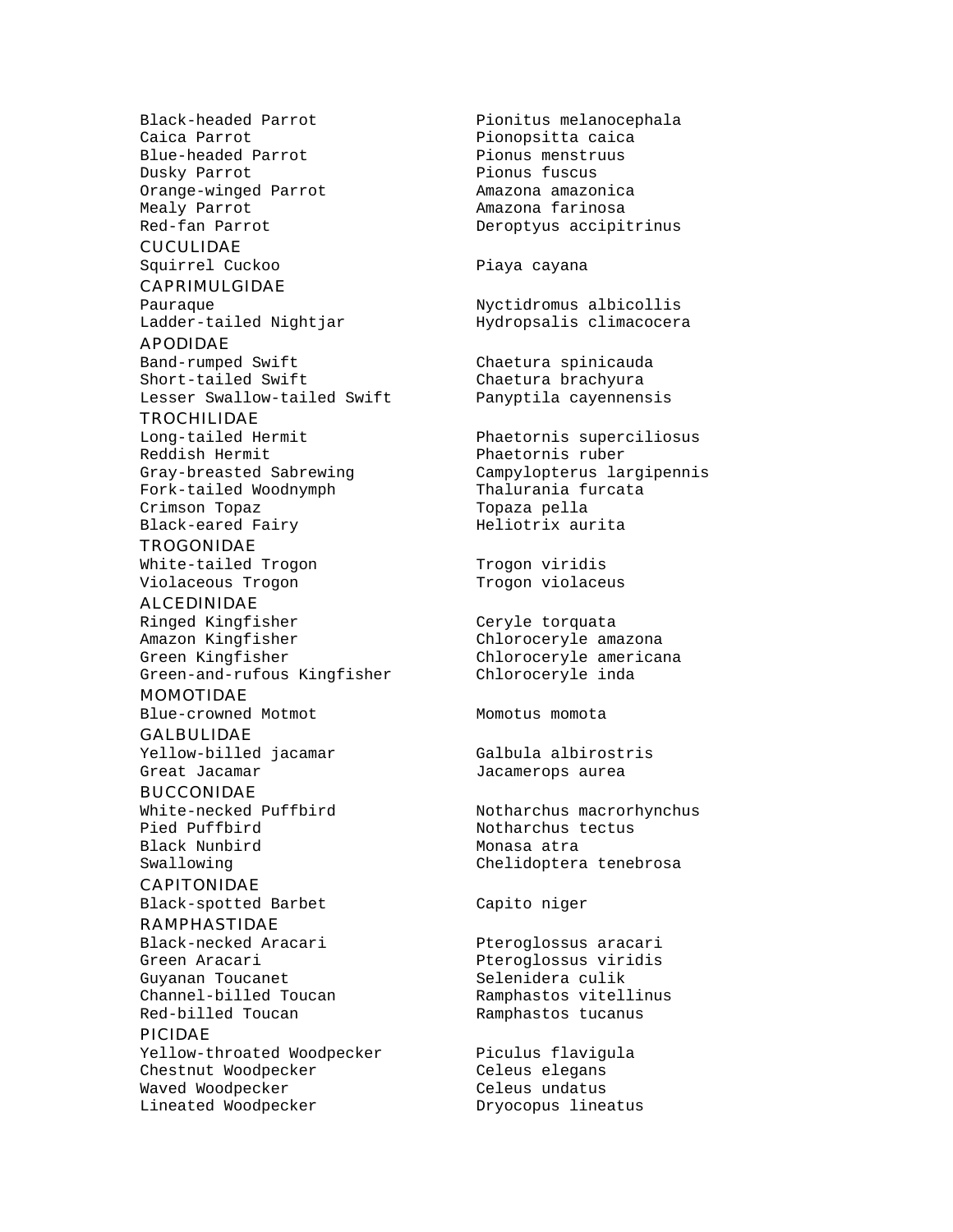```
Blue-headed Parrot Pionus menstruus
Dusky Parrot Pionus fuscus
Orange-winged Parrot Amazona amazonica
Mealy Parrot Amazona farinosa
```
#### **CUCULIDAE**

Squirrel Cuckoo **Piaya** cayana

## CAPRIMULGIDAE

APODIDAE Band-rumped Swift Chaetura spinicauda Short-tailed Swift Chaetura brachyura Lesser Swallow-tailed Swift Panyptila cayennensis

### **TROCHILIDAE**

Reddish Hermit **Phaetornis** ruber Fork-tailed Woodnymph Thalurania furcata Crimson Topaz Topaza pella Black-eared Fairy Meliotrix aurita

## **TROGONIDAE**

Violaceous Trogon Trogon Violaceus

#### ALCEDINIDAE

Ringed Kingfisher Ceryle torquata Amazon Kingfisher Chloroceryle amazona Green Kingfisher Chloroceryle americana Green-and-rufous Kingfisher Chloroceryle inda

#### MOMOTIDAE

Blue-crowned Motmot Momoto Momotus momota

## **GALBULIDAE** Yellow-billed jacamar Galbula albirostris

BUCCONIDAE

Pied Puffbird Notharchus tectus Black Nunbird Monasa atra

## CAPITONIDAE

Black-spotted Barbet Capito niger

### RAMPHASTIDAE

Black-necked Aracari Pteroglossus aracari Green Aracari **Premieri Europe Steen Aracari** Pteroglossus viridis Guyanan Toucanet Selenidera culik Channel-billed Toucan Ramphastos vitellinus Red-billed Toucan The Ramphastos tucanus

#### PICIDAE

Yellow-throated Woodpecker Piculus flavigula Chestnut Woodpecker Celeus elegans Waved Woodpecker Celeus undatus Lineated Woodpecker Dryocopus lineatus

Black-headed Parrot **Pionitus melanocephala**<br>Caica Parrot Pionopsitta caica Pionopsitta caica Red-fan Parrot **Deroptyus** accipitrinus

Pauraque Nyctidromus albicollis Ladder-tailed Nightjar Manuel Hydropsalis climacocera

Long-tailed Hermit Phaetornis superciliosus Gray-breasted Sabrewing Campylopterus largipennis

White-tailed Trogon Trogon viridis

Great Jacamar **Great Calculates** Jacamerops aurea

White-necked Puffbird Motharchus macrorhynchus Swallowing Chelidoptera tenebrosa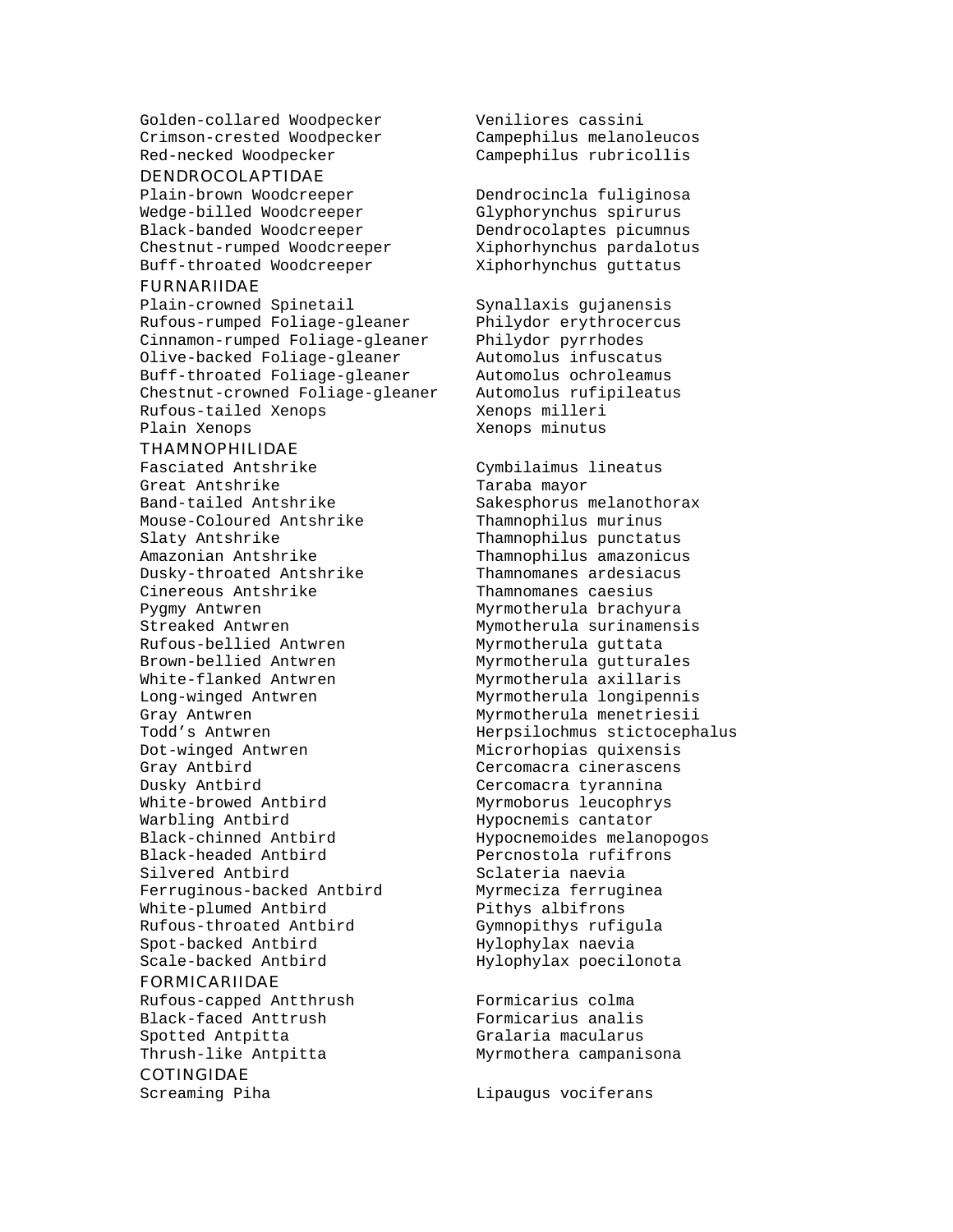Golden-collared Woodpecker Veniliores cassini Crimson-crested Woodpecker Campephilus melanoleucos Red-necked Woodpecker Campephilus rubricollis

#### DENDROCOLAPTIDAE

Wedge-billed Woodcreeper Glyphorynchus spirurus Black-banded Woodcreeper Dendrocolaptes picumnus Chestnut-rumped Woodcreeper Xiphorhynchus pardalotus Buff-throated Woodcreeper Xiphorhynchus guttatus

#### FURNARIIDAE

Plain-crowned Spinetail Synallaxis gujanensis Rufous-rumped Foliage-gleaner Philydor erythrocercus Cinnamon-rumped Foliage-gleaner Philydor pyrrhodes Olive-backed Foliage-gleaner Automolus infuscatus Buff-throated Foliage-gleaner Automolus ochroleamus Chestnut-crowned Foliage-gleaner Rufous-tailed Xenops milleri Plain Xenops **Marshall** Xenops minutus

#### THAMNOPHILIDAE

Fasciated Antshrike Cymbilaimus lineatus Great Antshrike Taraba mayor Band-tailed Antshrike Sakesphorus melanothorax Mouse-Coloured Antshrike Thamnophilus murinus Slaty Antshrike Thamnophilus punctatus Amazonian Antshrike Thamnophilus amazonicus Dusky-throated Antshrike Thamnomanes ardesiacus Cinereous Antshrike Thamnomanes caesius Pygmy Antwren 1988 Myrmotherula brachyura Streaked Antwren Mymotherula surinamensis Rufous-bellied Antwren Myrmotherula guttata Brown-bellied Antwren Myrmotherula gutturales White-flanked Antwren Myrmotherula axillaris Long-winged Antwren Myrmotherula longipennis Gray Antwren **Myrmotherula** menetriesii Dot-winged Antwren Microrhopias quixensis Gray Antbird Cercomacra cinerascens Dusky Antbird Cercomacra tyrannina White-browed Antbird Myrmoborus leucophrys Warbling Antbird **Hypocnemis** cantator Black-chinned Antbird Hypocnemoides melanopogos Silvered Antbird Sclateria naevia Ferruginous-backed Antbird Myrmeciza ferruginea White-plumed Antbird Pithys albifrons Rufous-throated Antbird Gymnopithys rufigula Spot-backed Antbird Hylophylax naevia Scale-backed Antbird The Hylophylax poecilonota

#### FORMICARIIDAE

Rufous-capped Antthrush Formicarius colma Black-faced Anttrush Formicarius analis Spotted Antpitta **Gralaria** Macularus Thrush-like Antpitta Myrmothera campanisona COTINGIDAE

Plain-brown Woodcreeper Dendrocincla fuliginosa

Todd's Antwren Todd's Antwren Herpsilochmus stictocephalus Percnostola rufifrons

Screaming Piha and Lipaugus vociferans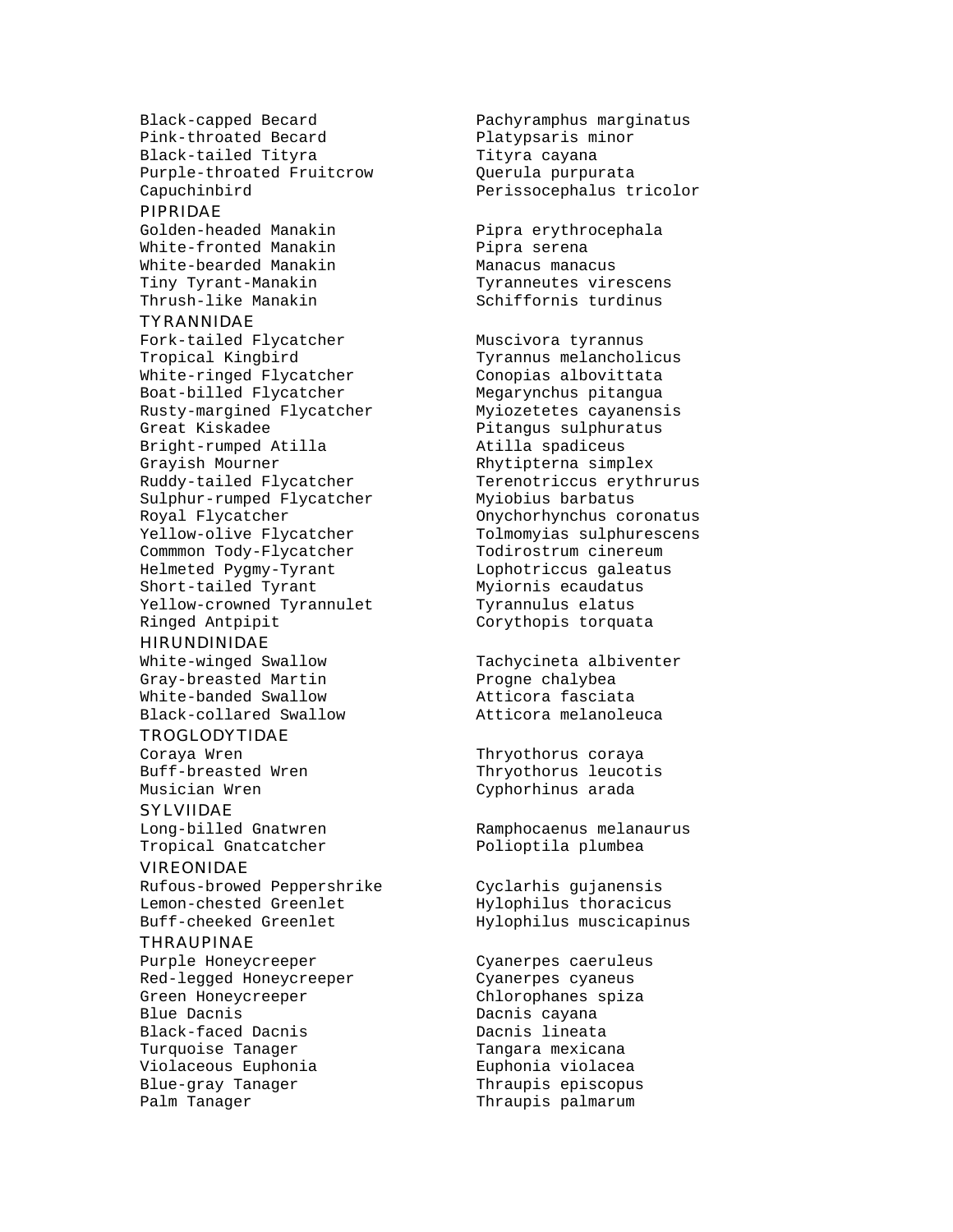Black-capped Becard Pachyramphus marginatus Pink-throated Becard Platypsaris minor Black-tailed Tityra Tityra cayana Purple-throated Fruitcrow Querula purpurata Capuchinbird Perissocephalus tricolor

#### PIPRIDAE

White-fronted Manakin Pipra serena White-bearded Manakin Manacus manacus Tiny Tyrant-Manakin Tyranneutes virescens<br>Thrush-like Manakin Schiffornis turdinus

#### TYRANNIDAE

Fork-tailed Flycatcher Muscivora tyrannus Tropical Kingbird Tyrannus melancholicus White-ringed Flycatcher Boat-billed Flycatcher Megarynchus pitangua Rusty-margined Flycatcher Myiozetetes cayanensis Great Kiskadee entitled and Pitangus sulphuratus Bright-rumped Atilla Atilla spadiceus Grayish Mourner **Rhytipterna** simplex Ruddy-tailed Flycatcher Terenotriccus erythrurus Sulphur-rumped Flycatcher Myiobius barbatus Royal Flycatcher **Channel Constants** Computer Constants Coronatus Yellow-olive Flycatcher Tolmomyias sulphurescens Commmon Tody-Flycatcher Todirostrum cinereum Helmeted Pygmy-Tyrant Lophotriccus galeatus Short-tailed Tyrant Myiornis ecaudatus Yellow-crowned Tyrannulet Tyrannulus elatus Ringed Antpipit **Corythopis** torquata

#### HIRUNDINIDAE

White-winged Swallow Tachycineta albiventer Gray-breasted Martin Progne chalybea White-banded Swallow **Atticora** fasciata Black-collared Swallow Atticora melanoleuca

#### TROGLODYTIDAE

Coraya Wren Thryothorus coraya

#### SYLVIIDAE

Long-billed Gnatwren Ramphocaenus melanaurus Tropical Gnatcatcher **Polioptila** plumbea

#### VIREONIDAE

Rufous-browed Peppershrike Cyclarhis gujanensis Lemon-chested Greenlet Hylophilus thoracicus Buff-cheeked Greenlet Hylophilus muscicapinus

#### **THRAUPINAE**

Purple Honeycreeper Cyanerpes caeruleus Red-legged Honeycreeper Cyanerpes cyaneus Green Honeycreeper Chlorophanes spiza Blue Dacnis Dacnis cayana Black-faced Dacnis Turquoise Tanager Turquoise Tanager Violaceous Euphonia Euphonia violacea Blue-gray Tanager Thraupis episcopus Palm Tanager Thraupis palmarum

Golden-headed Manakin Pipra erythrocephala Schiffornis turdinus

Buff-breasted Wren Thryothorus leucotis Musician Wren Cyphorhinus arada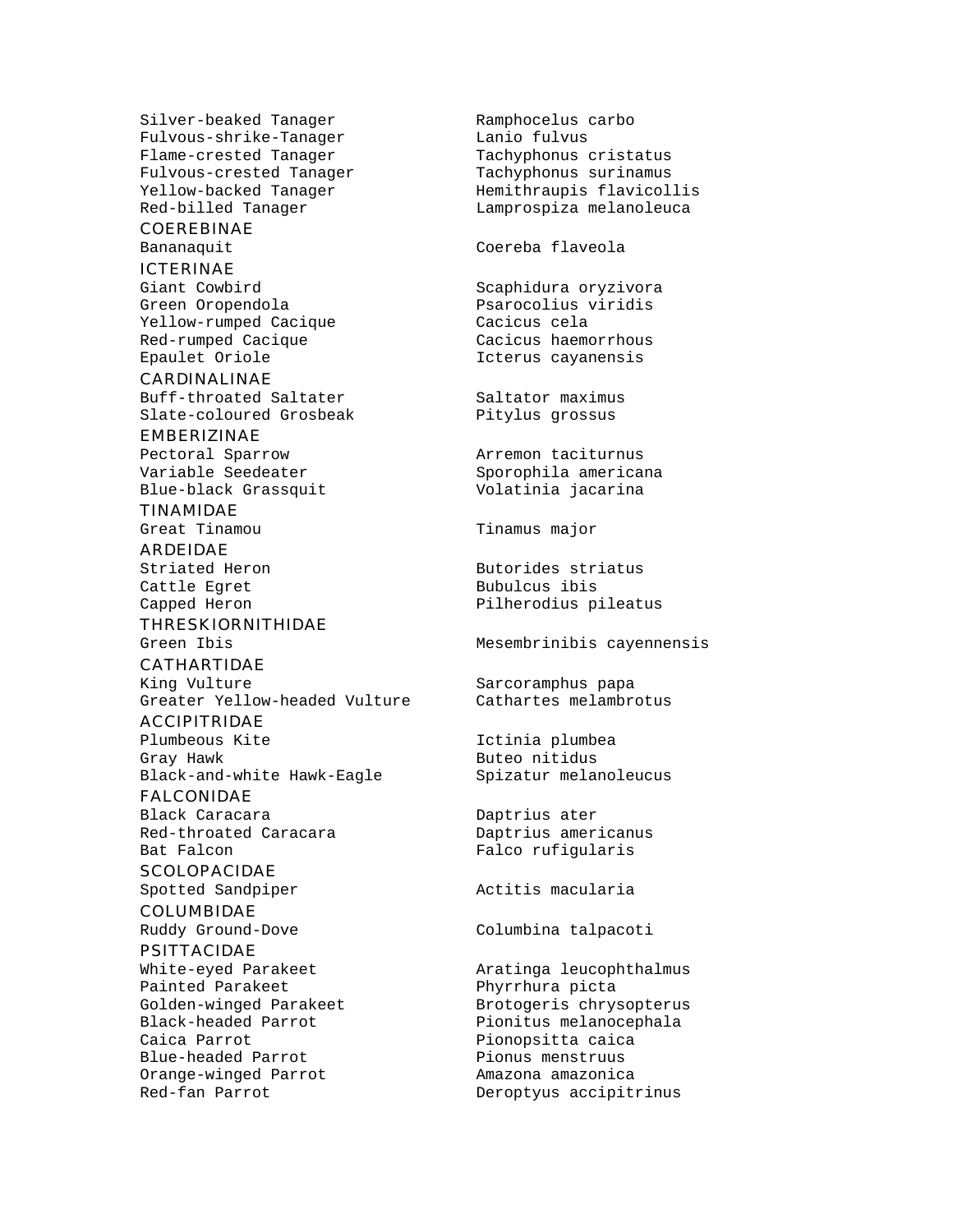Silver-beaked Tanager Ramphocelus carbo<br>Fulvous-shrike-Tanager Lanio fulvus Fulvous-shrike-Tanager Flame-crested Tanager Tachyphonus cristatus Fulvous-crested Tanager Tachyphonus surinamus

## COEREBINAE

#### ICTERINAE

Giant Cowbird **Scaphidura** oryzivora Green Oropendola Psarocolius viridis Yellow-rumped Cacique Cacicus cela Red-rumped Cacique Cacicus haemorrhous Epaulet Oriole **Icterus** Cayanensis

CARDINALINAE Buff-throated Saltater Saltator maximus Slate-coloured Grosbeak Pitylus grossus

EMBERIZINAE Pectoral Sparrow **Arremon** taciturnus

TINAMIDAE

ARDEIDAE Cattle Egret **Bubulcus** Bubulcus ibis

THRESKIORNITHIDAE

CATHARTIDAE King Vulture Sarcoramphus papa Greater Yellow-headed Vulture Cathartes melambrotus

ACCIPITRIDAE

Plumbeous Kite **Ictinia** plumbea Gray Hawk **Buteo** nitidus Black-and-white Hawk-Eagle Spizatur melanoleucus

FALCONIDAE Black Caracara **Daptrius** ater Red-throated Caracara Daptrius americanus Bat Falcon Falco rufigularis

**SCOLOPACIDAE** Spotted Sandpiper **Actives** Actitis macularia

COLUMBIDAE Ruddy Ground-Dove Columbina talpacoti

PSITTACIDAE White-eyed Parakeet **Aratinga leucophthalmus** Painted Parakeet Phyrrhura picta Black-headed Parrot Pionitus melanocephala Caica Parrot **Pionopsitta** caica Blue-headed Parrot Pionus menstruus Orange-winged Parrot Amazona amazonica Red-fan Parrot Chamber Deroptyus accipitrinus

Yellow-backed Tanager Hemithraupis flavicollis Red-billed Tanager Lamprospiza melanoleuca

Bananaquit Coereba flaveola

Variable Seedeater Sporophila americana Blue-black Grassquit Volatinia jacarina

Great Tinamou Tinamus major

Striated Heron Butorides striatus Capped Heron **Pilherodius** pileatus

Green Ibis Mesembrinibis cayennensis

Golden-winged Parakeet Brotogeris chrysopterus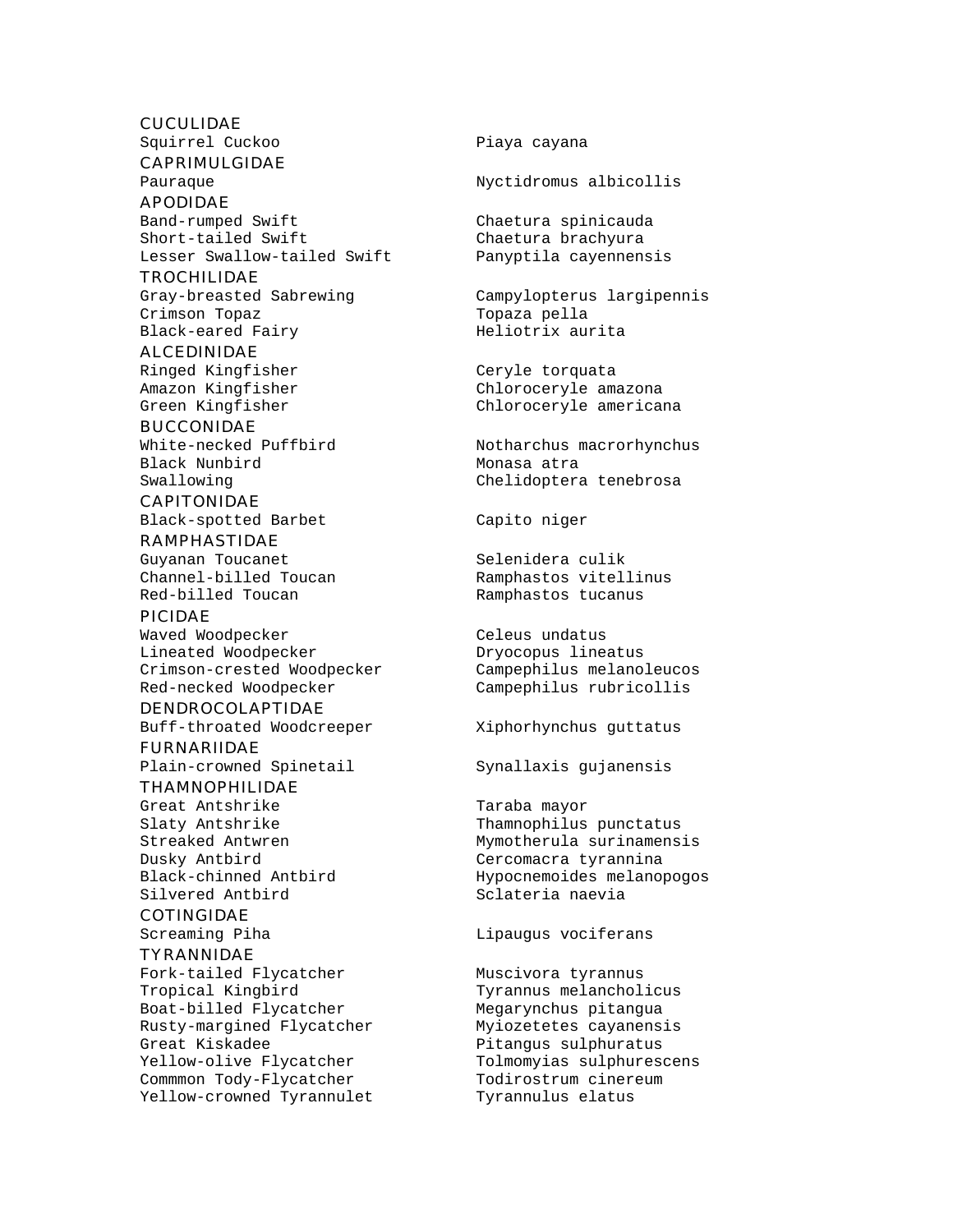#### CUCULIDAE

Squirrel Cuckoo New York Piaya cayana

### CAPRIMULGIDAE

APODIDAE Band-rumped Swift Chaetura spinicauda Short-tailed Swift Chaetura brachyura Lesser Swallow-tailed Swift

#### TROCHILIDAE

Crimson Topaz della Topaza pella Black-eared Fairy Meliotrix aurita

## ALCEDINIDAE

#### BUCCONIDAE

Black Nunbird Monasa atra

#### CAPITONIDAE Black-spotted Barbet Capito niger

RAMPHASTIDAE Guyanan Toucanet Selenidera culik Channel-billed Toucan Ramphastos vitellinus Red-billed Toucan Ramphastos tucanus

#### PICIDAE

Waved Woodpecker **Celeus** undatus Lineated Woodpecker Dryocopus lineatus Crimson-crested Woodpecker Campephilus melanoleucos Red-necked Woodpecker Campephilus rubricollis

#### DENDROCOLAPTIDAE

Buff-throated Woodcreeper Xiphorhynchus guttatus

#### FURNARIIDAE Plain-crowned Spinetail Synallaxis gujanensis

### THAMNOPHILIDAE

Great Antshrike Taraba mayor Dusky Antbird<br>Black-chinned Antbird Cercomacra tyrannina<br>Hypocnemoides melano Silvered Antbird Sclateria naevia

#### COTINGIDAE

### TYRANNIDAE

Fork-tailed Flycatcher Muscivora tyrannus<br>Tropical Kingbird Muscivora Tyrannus melanchol Boat-billed Flycatcher Megarynchus pitangua Rusty-margined Flycatcher Myiozetetes cayanensis Great Kiskadee entitled and the Pitangus sulphuratus Yellow-olive Flycatcher Tolmomyias sulphurescens Commmon Tody-Flycatcher Todirostrum cinereum Yellow-crowned Tyrannulet Tyrannulus elatus

Pauraque Nyctidromus albicollis

Gray-breasted Sabrewing Campylopterus largipennis

Ringed Kingfisher Ceryle torquata Amazon Kingfisher Chloroceryle amazona Green Kingfisher Chloroceryle americana

White-necked Puffbird Notharchus macrorhynchus Swallowing Chelidoptera tenebrosa

Slaty Antshrike Thamnophilus punctatus Streaked Antwren Mymotherula surinamensis Hypocnemoides melanopogos

Screaming Piha and Lipaugus vociferans

Tyrannus melancholicus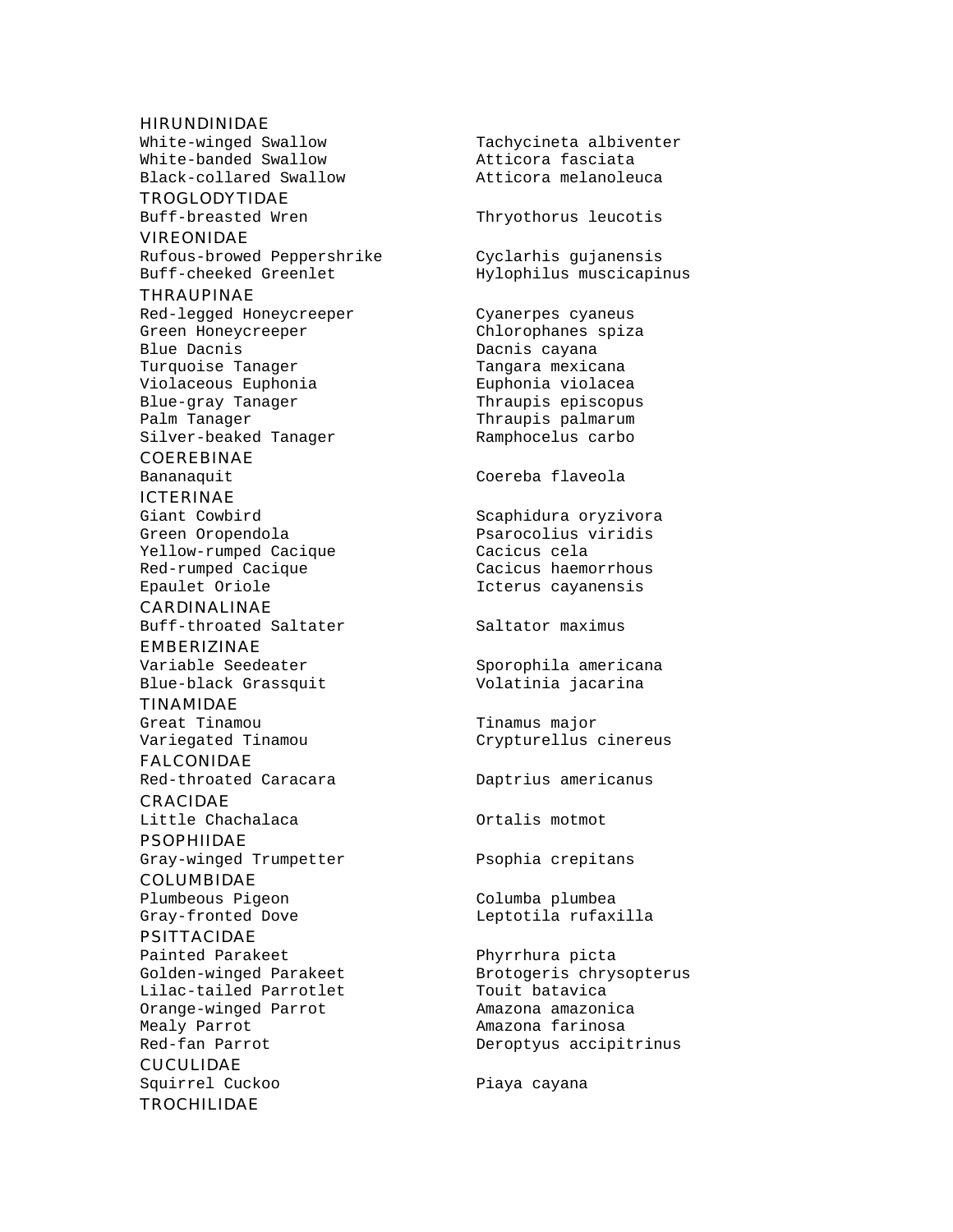#### HIRUNDINIDAE

White-banded Swallow **Atticora** fasciata Black-collared Swallow Atticora melanoleuca

TROGLODYTIDAE

#### VIREONIDAE

Rufous-browed Peppershrike Cyclarhis gujanensis<br>Buff-cheeked Greenlet Hylophilus muscicapin

#### THRAUPINAE

Red-legged Honeycreeper Cyanerpes cyaneus Green Honeycreeper Chlorophanes spiza Blue Dacnis **Dacnis** Dacnis cayana Turquoise Tanager Tangara mexicana<br>Violaceous Euphonia Euphonia violacea Violaceous Euphonia Blue-gray Tanager Thraupis episcopus Palm Tanager Thraupis palmarum Silver-beaked Tanager Ramphocelus carbo

#### COEREBINAE

## ICTERINAE

Green Oropendola Psarocolius viridis Yellow-rumped Cacique Cacicus cela Red-rumped Cacique Cacicus haemorrhous Epaulet Oriole Icterus cayanensis

#### CARDINALINAE Buff-throated Saltater Saltator maximus

EMBERIZINAE Variable Seedeater Sporophila americana<br>Blue-black Grassquit Volatinia jacarina Blue-black Grassquit

## TINAMIDAE

#### FALCONIDAE Red-throated Caracara Daptrius americanus

CRACIDAE Little Chachalaca **Chachalaca** Ortalis motmot

#### PSOPHIIDAE Gray-winged Trumpetter Psophia crepitans

COLUMBIDAE Plumbeous Pigeon Columba plumbea

#### PSITTACIDAE

Painted Parakeet Phyrrhura picta Lilac-tailed Parrotlet Touit batavica<br>Orange-winged Parrot Manazona amazonica Orange-winged Parrot Mealy Parrot **Amazona** farinosa Red-fan Parrot Christian Deroptyus accipitrinus

## CUCULIDAE Squirrel Cuckoo **Piaya cayana**

#### TROCHILIDAE

White-winged Swallow Tachycineta albiventer

Buff-breasted Wren Thryothorus leucotis

Hylophilus muscicapinus

Bananaquit Coereba flaveola

Giant Cowbird **Scaphidura** oryzivora

Great Tinamou Tinamus major Variegated Tinamou Crypturellus cinereus

Gray-fronted Dove and Leptotila rufaxilla

Golden-winged Parakeet Brotogeris chrysopterus<br>
Lilac-tailed Parrotlet Brouit batavica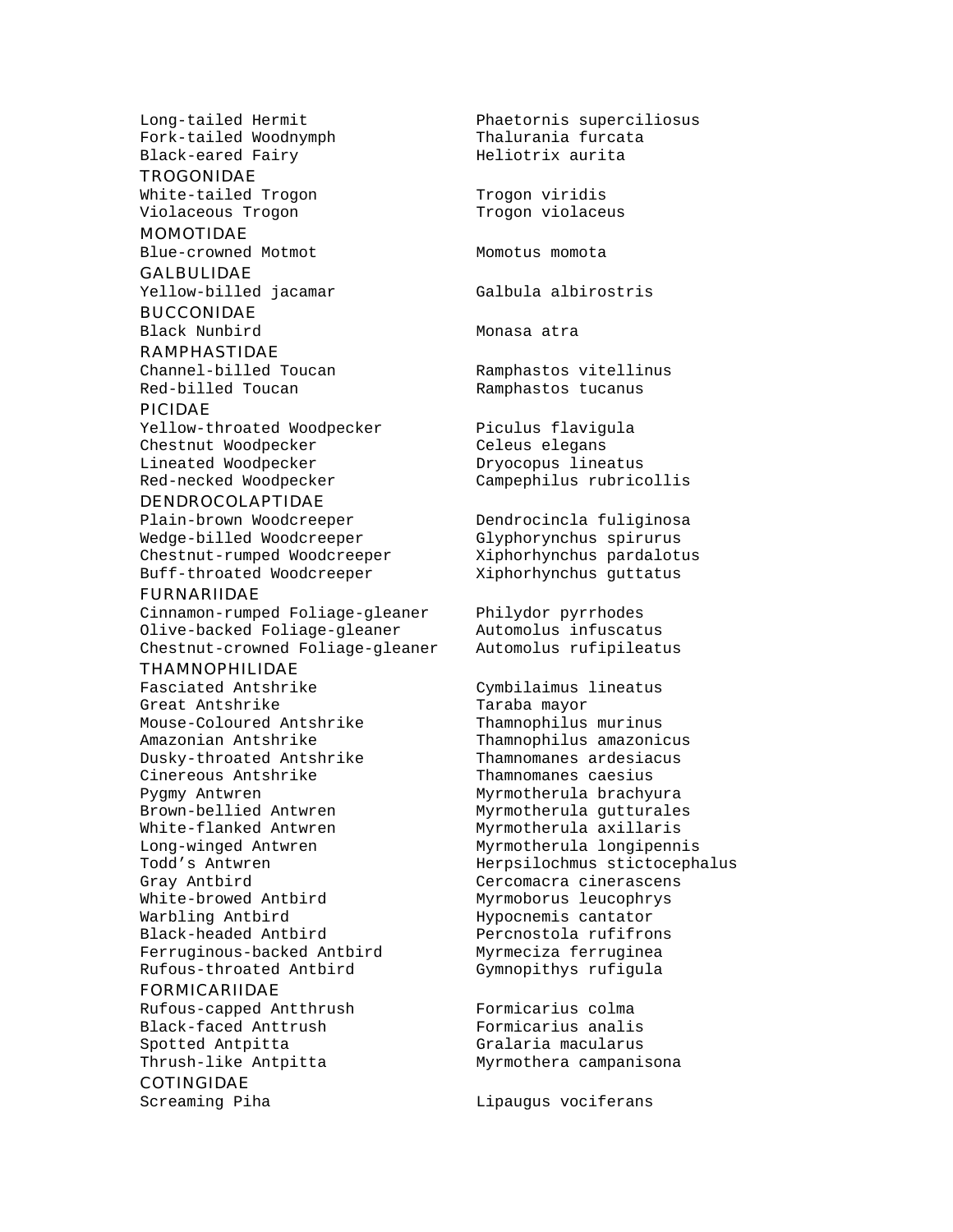Fork-tailed Woodnymph Black-eared Fairy Meliotrix aurita

**TROGONIDAE** White-tailed Trogon Trogon viridis Violaceous Trogon Trogon violaceus

## MOMOTIDAE

**GALBULIDAE** 

Yellow-billed jacamar Galbula albirostris

BUCCONIDAE Black Nunbird Monasa atra

#### RAMPHASTIDAE

Red-billed Toucan Ramphastos tucanus

#### PICIDAE

Yellow-throated Woodpecker Piculus flavigula Chestnut Woodpecker Celeus elegans Lineated Woodpecker Dryocopus lineatus Red-necked Woodpecker Campephilus rubricollis

#### DENDROCOLAPTIDAE

Plain-brown Woodcreeper Dendrocincla fuliginosa Wedge-billed Woodcreeper Glyphorynchus spirurus<br>Chestnut-rumped Woodcreeper Xiphorhynchus pardalotus Chestnut-rumped Woodcreeper Buff-throated Woodcreeper Xiphorhynchus guttatus

#### FURNARIIDAE

Cinnamon-rumped Foliage-gleaner Philydor pyrrhodes Olive-backed Foliage-gleaner Automolus infuscatus Chestnut-crowned Foliage-gleaner Automolus rufipileatus

#### THAMNOPHILIDAE

Fasciated Antshrike Cymbilaimus lineatus Great Antshrike Taraba mayor Mouse-Coloured Antshrike Thamnophilus murinus Amazonian Antshrike Thamnophilus amazonicus Dusky-throated Antshrike Thamnomanes ardesiacus Cinereous Antshrike Thamnomanes caesius Pygmy Antwren Myrmotherula brachyura Brown-bellied Antwren Myrmotherula gutturales White-flanked Antwren Myrmotherula axillaris Long-winged Antwren Myrmotherula longipennis Gray Antbird Cercomacra cinerascens White-browed Antbird Myrmoborus leucophrys Warbling Antbird **Hypocnemis** cantator Black-headed Antbird Percnostola rufifrons Ferruginous-backed Antbird Myrmeciza ferruginea Rufous-throated Antbird Gymnopithys rufigula

#### FORMICARIIDAE

Rufous-capped Antthrush Formicarius colma Black-faced Anttrush Formicarius analis Spotted Antpitta **Gralaria** Grana Thrush-like Antpitta Myrmothera campanisona

#### COTINGIDAE

Long-tailed Hermit Phaetornis superciliosus

Blue-crowned Motmot Momoto Momotus momota

Channel-billed Toucan Ramphastos vitellinus

Todd's Antwren Herpsilochmus stictocephalus

Screaming Piha and Lipaugus vociferans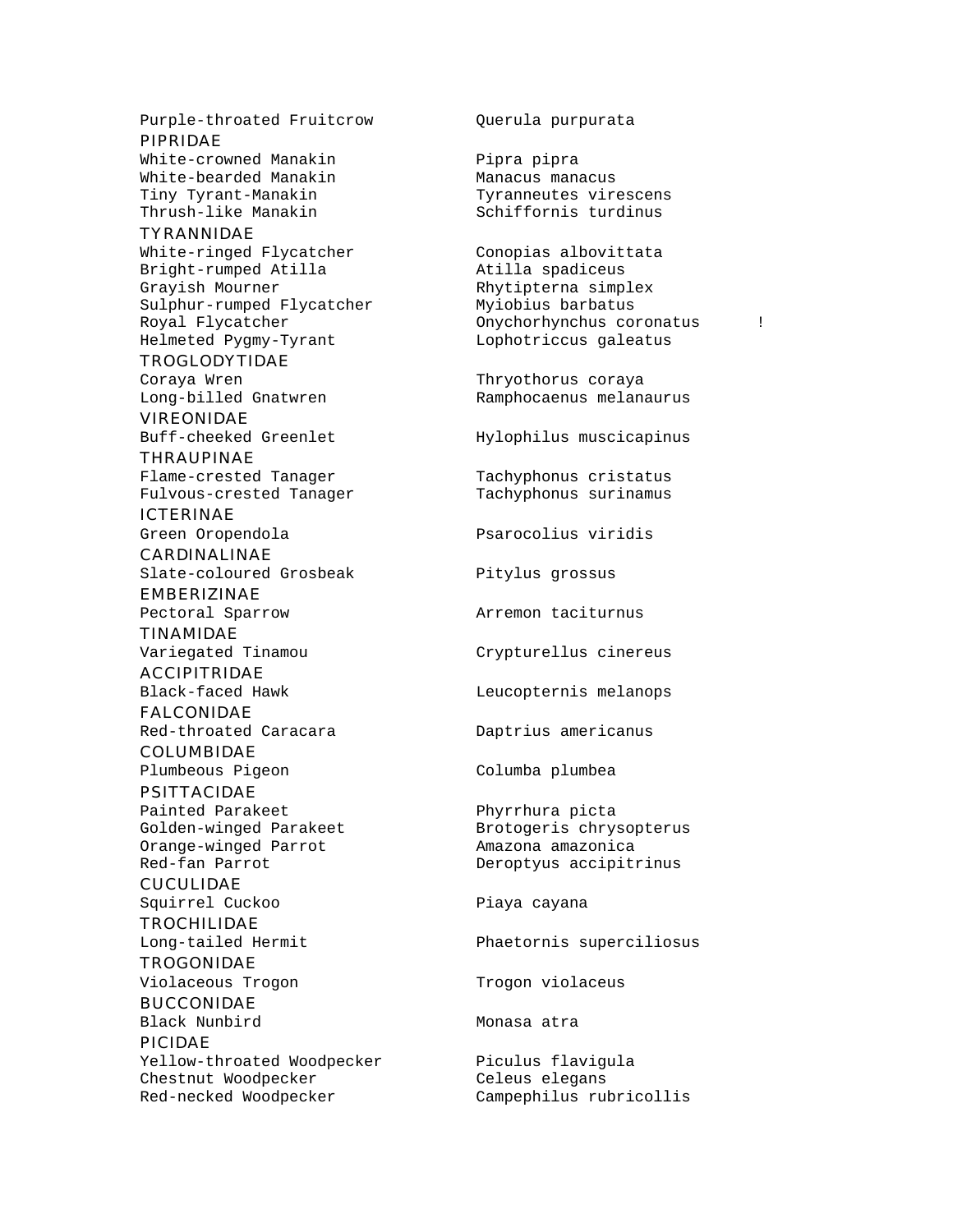Purple-throated Fruitcrow Querula purpurata PIPRIDAE White-crowned Manakin Pipra pipra White-bearded Manakin Manacus Manacus manacus Tiny Tyrant-Manakin Tyranneutes virescens Thrush-like Manakin Schiffornis turdinus TYRANNIDAE White-ringed Flycatcher Conopias albovittata

Bright-rumped Atilla Atilla spadiceus Grayish Mourner **Rhytipterna** simplex Sulphur-rumped Flycatcher Myiobius barbatus Helmeted Pygmy-Tyrant Lophotriccus galeatus

TROGLODYTIDAE Coraya Wren Thryothorus coraya

VIREONIDAE Buff-cheeked Greenlet Hylophilus muscicapinus

THRAUPINAE Flame-crested Tanager Tachyphonus cristatus Fulvous-crested Tanager Tachyphonus surinamus

ICTERINAE

CARDINALINAE Slate-coloured Grosbeak Pitylus grossus

EMBERIZINAE

TINAMIDAE

ACCIPITRIDAE

FALCONIDAE Red-throated Caracara Daptrius americanus

COLUMBIDAE Plumbeous Pigeon Columba plumbea

PSITTACIDAE Painted Parakeet Phyrrhura picta Orange-winged Parrot **Amazona amazonica**<br>Red-fan Parrot **Amazonica**<br>Deroptyus accipit:

**CUCULIDAE** Squirrel Cuckoo **Piaya** Cayana

**TROCHILIDAE** 

TROGONIDAE Violaceous Trogon Trogon Violaceus

BUCCONIDAE Black Nunbird Monasa atra PICIDAE

Yellow-throated Woodpecker Piculus flavigula Chestnut Woodpecker Celeus elegans Red-necked Woodpecker Campephilus rubricollis

Royal Flycatcher **Constanting Constanting Constanting Constanting Constanting Constanting Constanting Constanting Constanting Constanting Constanting Constanting Constanting Constanting Constanting Constanting Constanting** 

Long-billed Gnatwren Ramphocaenus melanaurus

Green Oropendola Psarocolius viridis

Pectoral Sparrow **Arremon** taciturnus

Variegated Tinamou Crypturellus cinereus

Black-faced Hawk Leucopternis melanops

Golden-winged Parakeet Brotogeris chrysopterus Deroptyus accipitrinus

Long-tailed Hermit Phaetornis superciliosus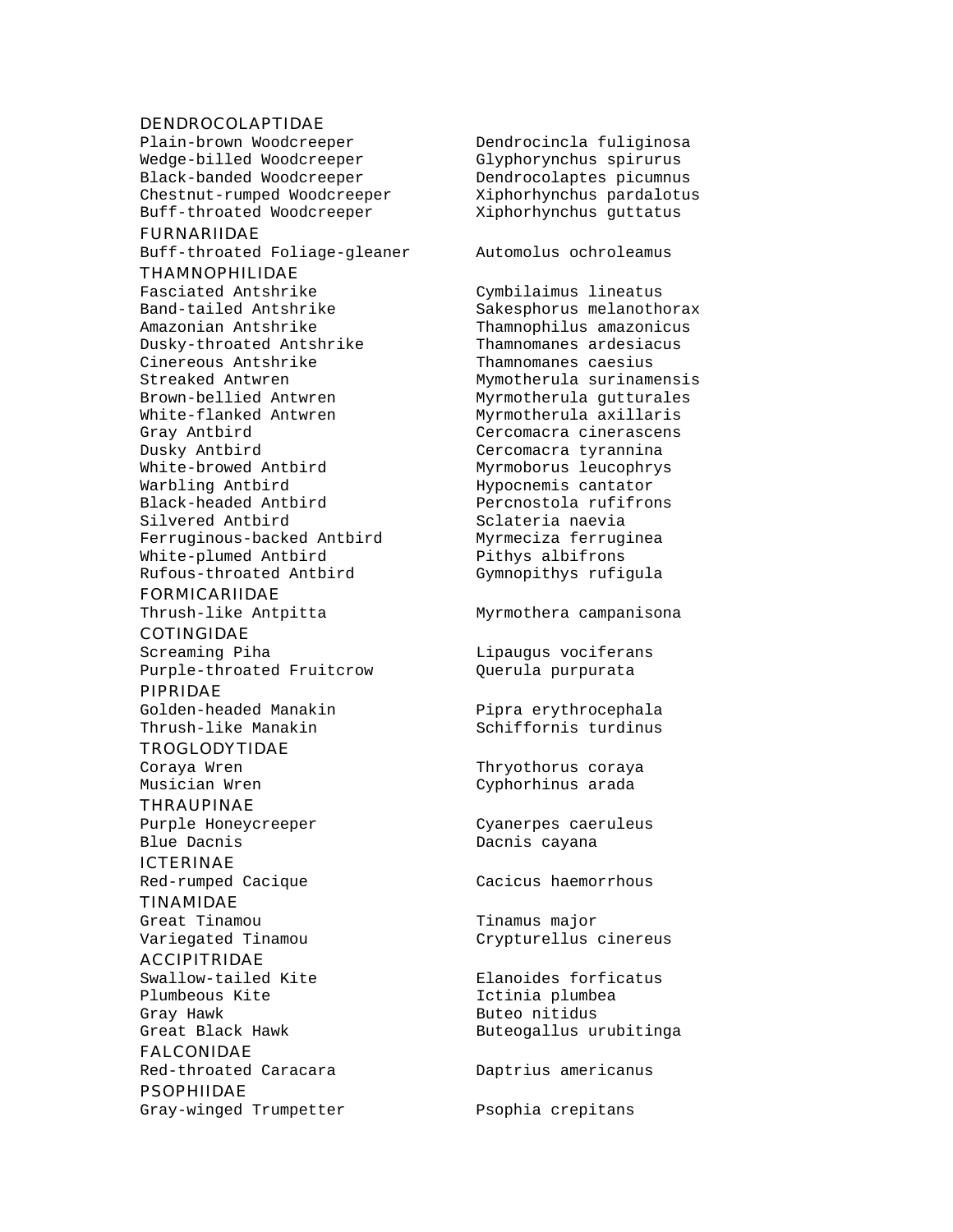#### DENDROCOLAPTIDAE

Plain-brown Woodcreeper Dendrocincla fuliginosa Wedge-billed Woodcreeper Glyphorynchus spirurus Black-banded Woodcreeper Dendrocolaptes picumnus Chestnut-rumped Woodcreeper Xiphorhynchus pardalotus Buff-throated Woodcreeper Xiphorhynchus guttatus

#### FURNARIIDAE

Buff-throated Foliage-gleaner Automolus ochroleamus THAMNOPHILIDAE Fasciated Antshrike Cymbilaimus lineatus

Amazonian Antshrike Thamnophilus amazonicus Dusky-throated Antshrike Thamnomanes ardesiacus Cinereous Antshrike Thamnomanes caesius Streaked Antwren Mymotherula surinamensis Brown-bellied Antwren Myrmotherula gutturales White-flanked Antwren Myrmotherula axillaris Gray Antbird **Cercomacra cinerascens** Dusky Antbird Cercomacra tyrannina White-browed Antbird Myrmoborus leucophrys Warbling Antbird **Hypocnemis** cantator Black-headed Antbird Percnostola rufifrons Silvered Antbird Sclateria naevia Ferruginous-backed Antbird Myrmeciza ferruginea White-plumed Antbird **Pithys** albifrons Rufous-throated Antbird Gymnopithys rufigula

## FORMICARIIDAE

## COTINGIDAE

Screaming Piha and Lipaugus vociferans Purple-throated Fruitcrow Querula purpurata

#### PIPRIDAE

Golden-headed Manakin Pipra erythrocephala Thrush-like Manakin Schiffornis turdinus

#### TROGLODYTIDAE

**THRAUPINAE** Purple Honeycreeper Cyanerpes caeruleus Blue Dacnis **Blue Dacnis** Cayana

#### ICTERINAE

Red-rumped Cacique **Cacicus** Cacicus haemorrhous TINAMIDAE

## ACCIPITRIDAE

Plumbeous Kite **Ictinia** plumbea Gray Hawk **Buteo nitidus** 

FALCONIDAE Red-throated Caracara **Daptrius** americanus **PSOPHIIDAE** 

Gray-winged Trumpetter Psophia crepitans

Band-tailed Antshrike Sakesphorus melanothorax

Thrush-like Antpitta Myrmothera campanisona

Coraya Wren Thryothorus coraya Musician Wren Cyphorhinus arada

Great Tinamou **Tinamus** major Variegated Tinamou Crypturellus cinereus

Swallow-tailed Kite Elanoides forficatus Great Black Hawk **Buteogallus** urubitinga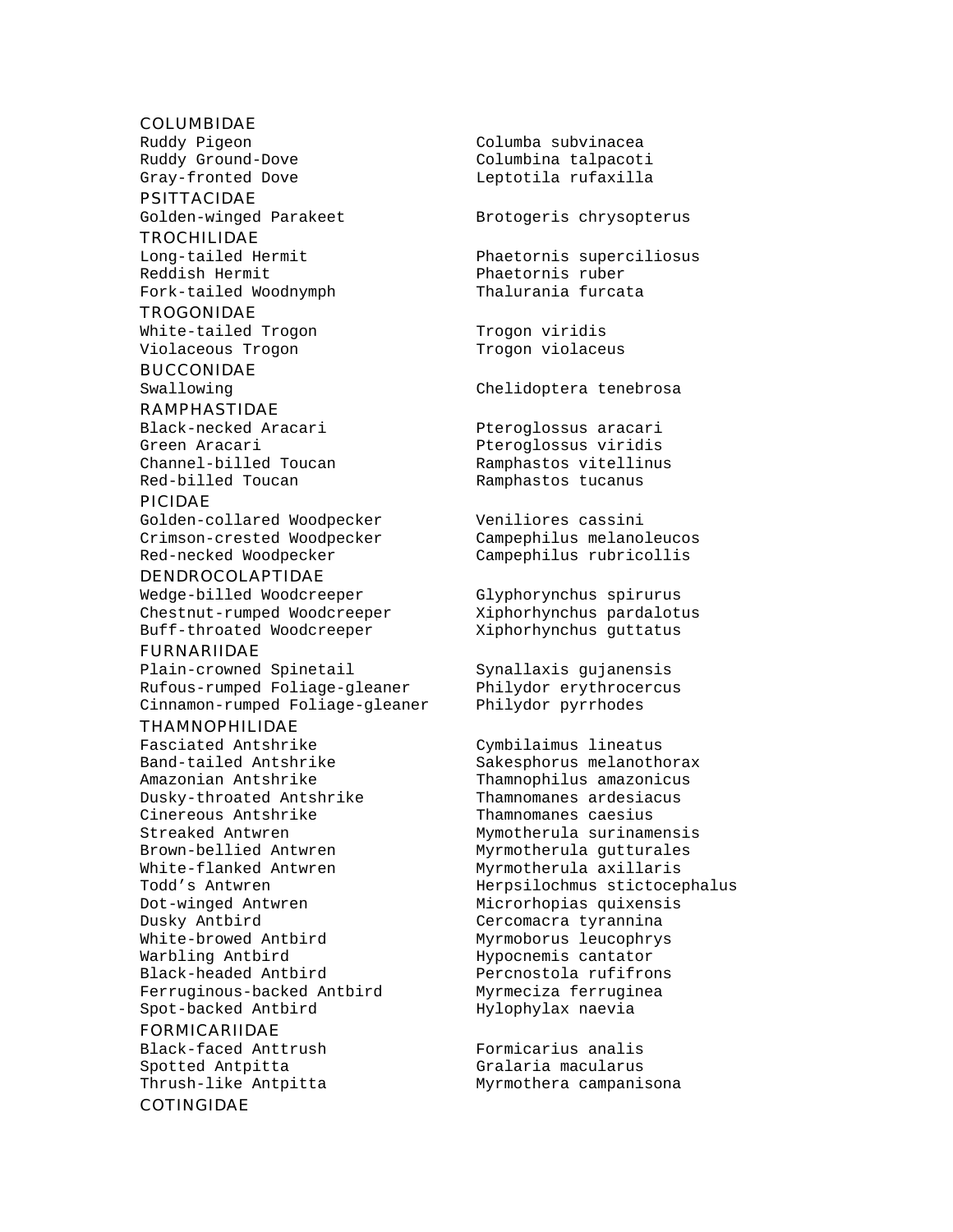#### COLUMBIDAE

PSITTACIDAE Golden-winged Parakeet Brotogeris chrysopterus

#### TROCHILIDAE

Reddish Hermit Phaetornis ruber Fork-tailed Woodnymph Thalurania furcata

#### TROGONIDAE

White-tailed Trogon Trogon viridis Violaceous Trogon Trogon Violaceus

## BUCCONIDAE

#### RAMPHASTIDAE

Green Aracari **Pteroglossus** viridis Red-billed Toucan Ramphastos tucanus

#### PICIDAE

Golden-collared Woodpecker Veniliores cassini Crimson-crested Woodpecker Campephilus melanoleucos<br>Red-necked Woodpecker Campephilus rubricollis

#### DENDROCOLAPTIDAE

Wedge-billed Woodcreeper Glyphorynchus spirurus Chestnut-rumped Woodcreeper Xiphorhynchus pardalotus Buff-throated Woodcreeper Xiphorhynchus guttatus

#### FURNARIIDAE

Plain-crowned Spinetail Synallaxis gujanensis Rufous-rumped Foliage-gleaner Philydor erythrocercus Cinnamon-rumped Foliage-gleaner Philydor pyrrhodes

#### THAMNOPHILIDAE

Fasciated Antshrike Cymbilaimus lineatus Band-tailed Antshrike Sakesphorus melanothorax Amazonian Antshrike Thamnophilus amazonicus Dusky-throated Antshrike Cinereous Antshrike Thamnomanes caesius Streaked Antwren 1988 Mymotherula surinamensis Brown-bellied Antwren Myrmotherula gutturales White-flanked Antwren Myrmotherula axillaris Dusky Antbird Cercomacra tyrannina White-browed Antbird Myrmoborus leucophrys Warbling Antbird **Hypocnemis** cantator Black-headed Antbird Percnostola rufifrons Ferruginous-backed Antbird Myrmeciza ferruginea Spot-backed Antbird Hylophylax naevia

#### FORMICARIIDAE

Black-faced Anttrush Formicarius analis Spotted Antpitta Gralaria macularus

#### COTINGIDAE

Ruddy Pigeon Columba subvinacea Ruddy Ground-Dove Columbina talpacoti Gray-fronted Dove **Leptotila** rufaxilla

Long-tailed Hermit Phaetornis superciliosus

Swallowing Chelidoptera tenebrosa

Black-necked Aracari Pteroglossus aracari Channel-billed Toucan Ramphastos vitellinus

Campephilus rubricollis

Todd's Antwren Herpsilochmus stictocephalus<br>Dot-winged Antwren Microrhopias quixensis Microrhopias quixensis

Thrush-like Antpitta Myrmothera campanisona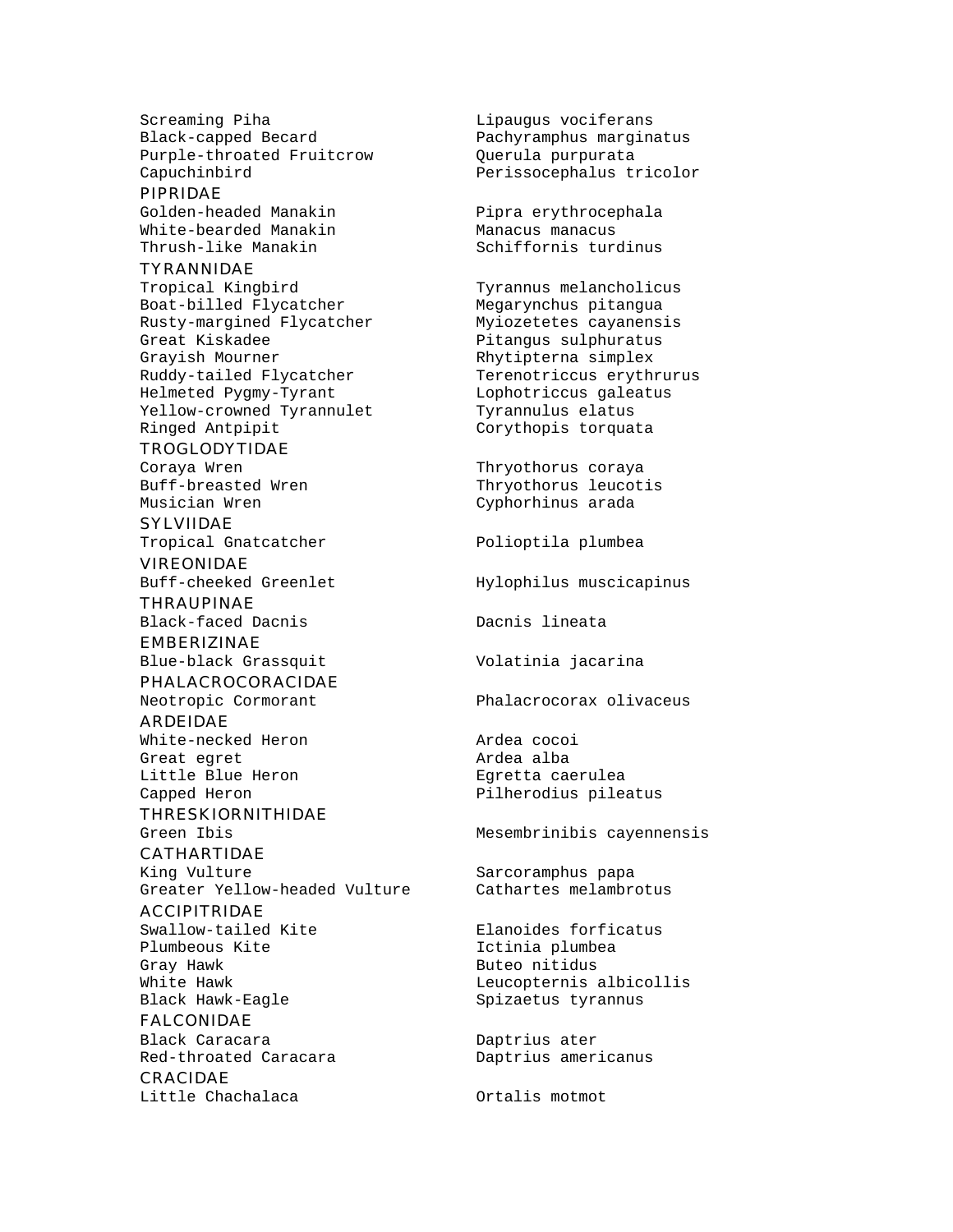Screaming Piha and Lipaugus vociferans Black-capped Becard Pachyramphus marginatus Purple-throated Fruitcrow Querula purpurata Capuchinbird Perissocephalus tricolor

#### PIPRIDAE

Golden-headed Manakin Pipra erythrocephala White-bearded Manakin Manacus manacus<br>Thrush-like Manakin Schiffornis ture

#### TYRANNIDAE

Tropical Kingbird Tyrannus melancholicus Boat-billed Flycatcher Megarynchus pitangua Rusty-margined Flycatcher Myiozetetes cayanensis Great Kiskadee entitled as a pitangus sulphuratus Grayish Mourner **Example Strategier Rhytipterna** simplex Ruddy-tailed Flycatcher Terenotriccus erythrurus Helmeted Pygmy-Tyrant Lophotriccus galeatus Yellow-crowned Tyrannulet Tyrannulus elatus Ringed Antpipit **Corythopis** torquata

#### TROGLODYTIDAE

SYLVIIDAE Tropical Gnatcatcher **Polioptila** plumbea

VIREONIDAE Buff-cheeked Greenlet Hylophilus muscicapinus

THRAUPINAE Black-faced Dacnis Dacnis lineata

## EMBERIZINAE

#### PHALACROCORACIDAE

ARDEIDAE White-necked Heron and ardea cocoi Great eqret **Ardea** alba Little Blue Heron Egretta caerulea

THRESKIORNITHIDAE

## CATHARTIDAE

Greater Yellow-headed Vulture Cathartes melambrotus

### ACCIPITRIDAE

Plumbeous Kite **Ictinia** plumbea Gray Hawk **Buteo** nitidus

#### FALCONIDAE Black Caracara **Daptrius** ater Red-throated Caracara Daptrius americanus

CRACIDAE Little Chachalaca Ortalis motmot

Schiffornis turdinus

Coraya Wren Thryothorus coraya Thryothorus leucotis Musician Wren Cyphorhinus arada

Blue-black Grassquit Volatinia jacarina

Neotropic Cormorant Phalacrocorax olivaceus

Capped Heron **Pilherodius** pileatus

Green Ibis **Mesembrinibis cayennensis** 

King Vulture Sarcoramphus papa

Swallow-tailed Kite **Elanoides** forficatus White Hawk **Leucopternis** albicollis Black Hawk-Eagle Spizaetus tyrannus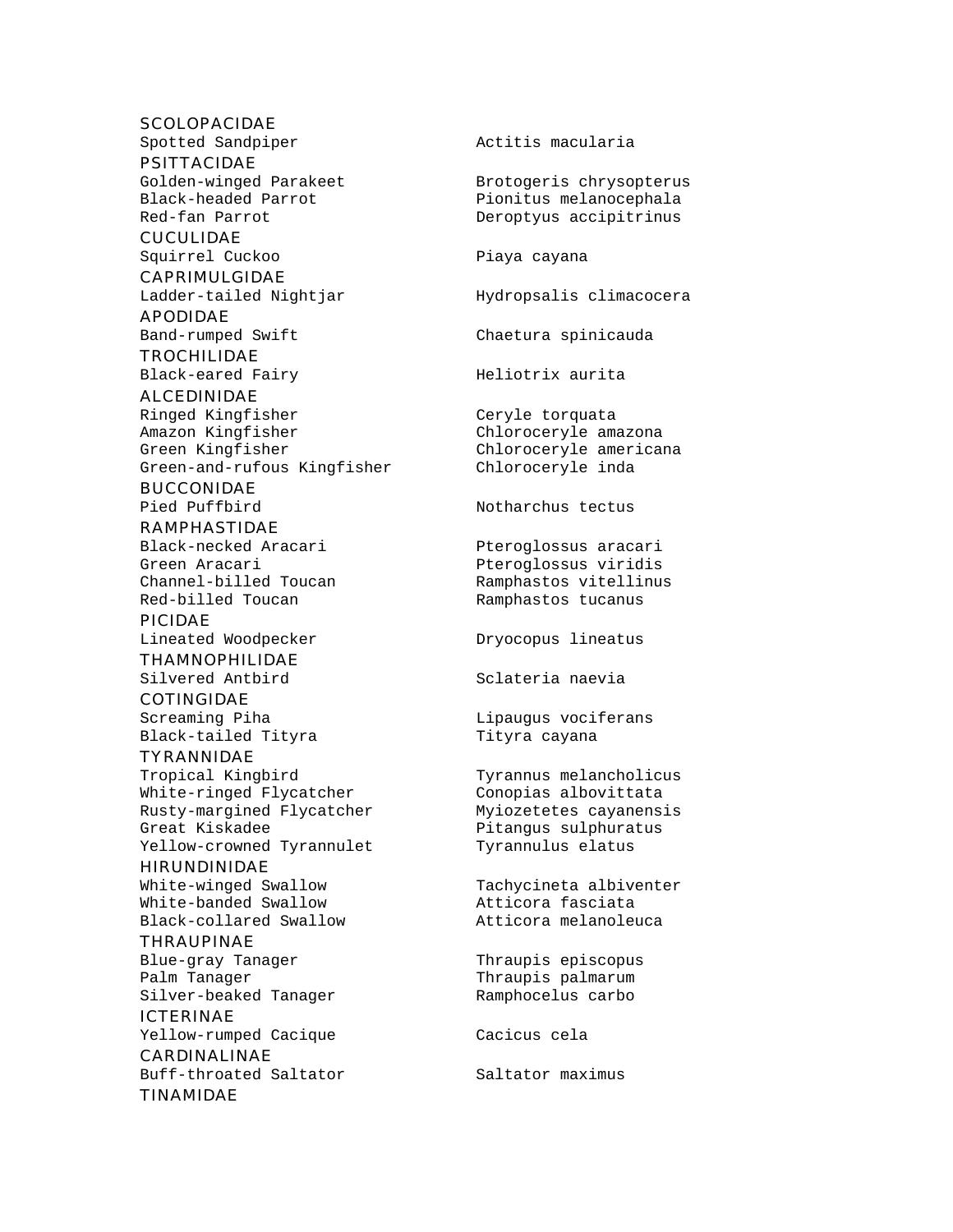#### **SCOLOPACIDAE**

PSITTACIDAE

CUCULIDAE

CAPRIMULGIDAE

APODIDAE

**TROCHILIDAE** 

ALCEDINIDAE

Ringed Kingfisher Ceryle torquata Amazon Kingfisher Chloroceryle amazona Green Kingfisher Chloroceryle americana Green-and-rufous Kingfisher Chloroceryle inda

BUCCONIDAE

RAMPHASTIDAE

Red-billed Toucan Ramphastos tucanus

PICIDAE

THAMNOPHILIDAE

**COTINGIDAE** 

Black-tailed Tityra Tityra Cayana TYRANNIDAE

Tropical Kingbird Tyrannus melancholicus White-ringed Flycatcher Conopias albovittata Rusty-margined Flycatcher Myiozetetes cayanensis Great Kiskadee entitled and the Pitangus sulphuratus Yellow-crowned Tyrannulet Tyrannulus elatus

HIRUNDINIDAE

White-banded Swallow **Atticora** fasciata Black-collared Swallow Atticora melanoleuca

THRAUPINAE Blue-gray Tanager Thraupis episcopus Palm Tanager Thraupis palmarum Silver-beaked Tanager Ramphocelus carbo

ICTERINAE Yellow-rumped Cacique Cacicus cela CARDINALINAE

Buff-throated Saltator Saltator maximus TINAMIDAE

Spotted Sandpiper **Action** Actitis macularia Golden-winged Parakeet Brotogeris chrysopterus Black-headed Parrot Pionitus melanocephala Red-fan Parrot Deroptyus accipitrinus Squirrel Cuckoo **Piaya** cayana Ladder-tailed Nightjar Hydropsalis climacocera Band-rumped Swift Chaetura spinicauda Black-eared Fairy Meliotrix aurita Pied Puffbird Notharchus tectus Black-necked Aracari Pteroglossus aracari Green Aracari Pteroglossus viridis Ramphastos vitellinus Lineated Woodpecker **Dryocopus** lineatus Silvered Antbird Sclateria naevia Screaming Piha Lipaugus vociferans White-winged Swallow Tachycineta albiventer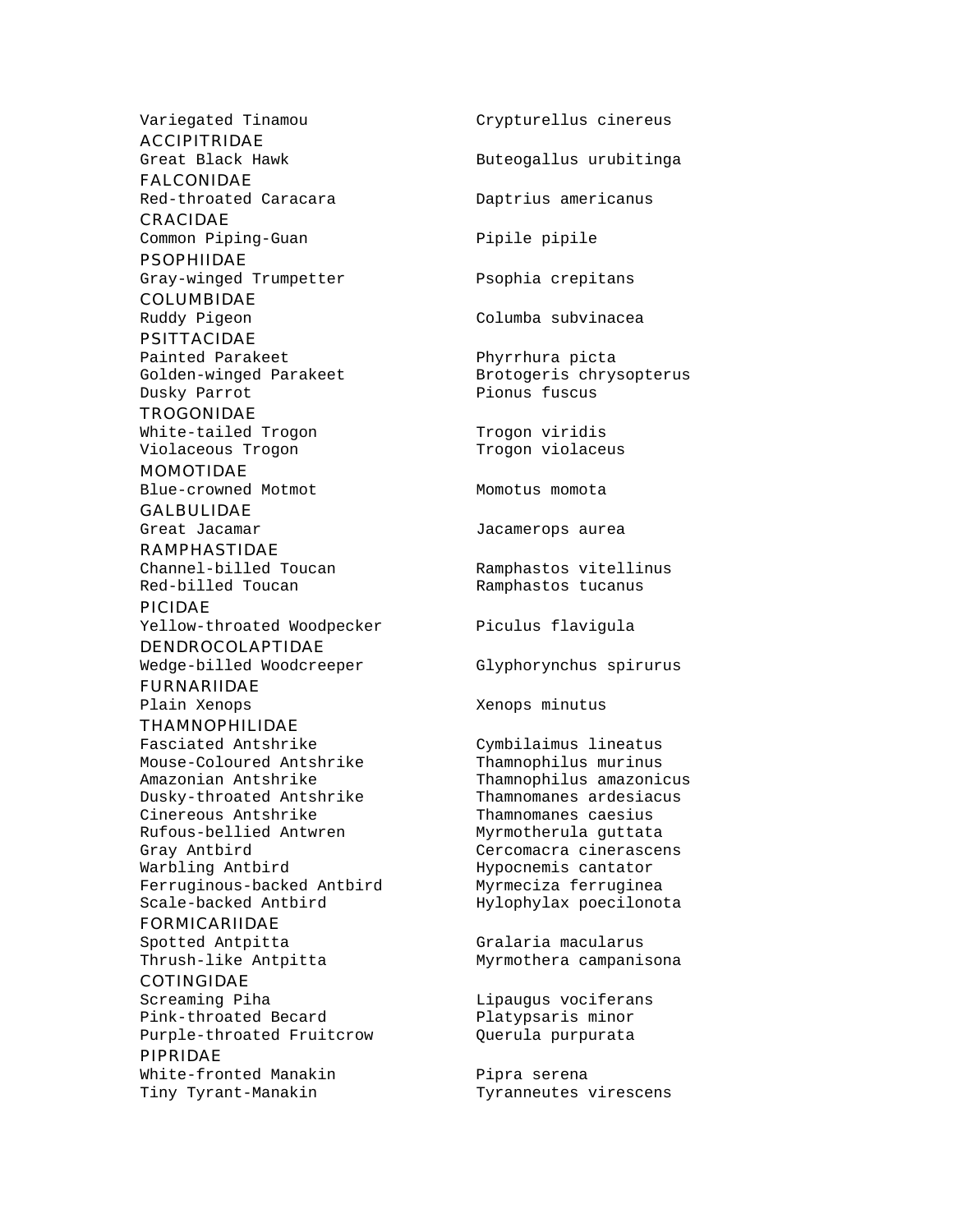ACCIPITRIDAE

FALCONIDAE

CRACIDAE Common Piping-Guan Pipile pipile

PSOPHIIDAE Gray-winged Trumpetter Psophia crepitans

COLUMBIDAE

PSITTACIDAE Painted Parakeet Phyrrhura picta Dusky Parrot Pionus fuscus

**TROGONIDAE** White-tailed Trogon Trogon viridis Violaceous Trogon Trogon violaceus

MOMOTIDAE Blue-crowned Motmot Momotus momota

GALBULIDAE

RAMPHASTIDAE

PICIDAE Yellow-throated Woodpecker Piculus flavigula DENDROCOLAPTIDAE

Wedge-billed Woodcreeper Glyphorynchus spirurus FURNARIIDAE

THAMNOPHILIDAE Fasciated Antshrike Cymbilaimus lineatus Mouse-Coloured Antshrike Thamnophilus murinus Amazonian Antshrike Thamnophilus amazonicus Dusky-throated Antshrike Thamnomanes ardesiacus Cinereous Antshrike Thamnomanes caesius Rufous-bellied Antwren Myrmotherula guttata Gray Antbird Cercomacra cinerascens Warbling Antbird **Hypocnemis** cantator Ferruginous-backed Antbird Myrmeciza ferruginea

FORMICARIIDAE Spotted Antpitta **Gralaria** Macularus

COTINGIDAE Screaming Piha and Lipaugus vociferans Pink-throated Becard Platypsaris minor Purple-throated Fruitcrow Querula purpurata PIPRIDAE

White-fronted Manakin Pipra serena

Variegated Tinamou Crypturellus cinereus

Great Black Hawk **Buteogallus** urubitinga

Red-throated Caracara Daptrius americanus

Ruddy Pigeon Columba subvinacea

Golden-winged Parakeet Brotogeris chrysopterus

Great Jacamar **Great Calculates** Jacamerops aurea

Channel-billed Toucan Ramphastos vitellinus Red-billed Toucan The Ramphastos tucanus

Plain Xenops **Xenops** Xenops minutus

Scale-backed Antbird The Hylophylax poecilonota

Thrush-like Antpitta Myrmothera campanisona

Tiny Tyrant-Manakin Tyranneutes virescens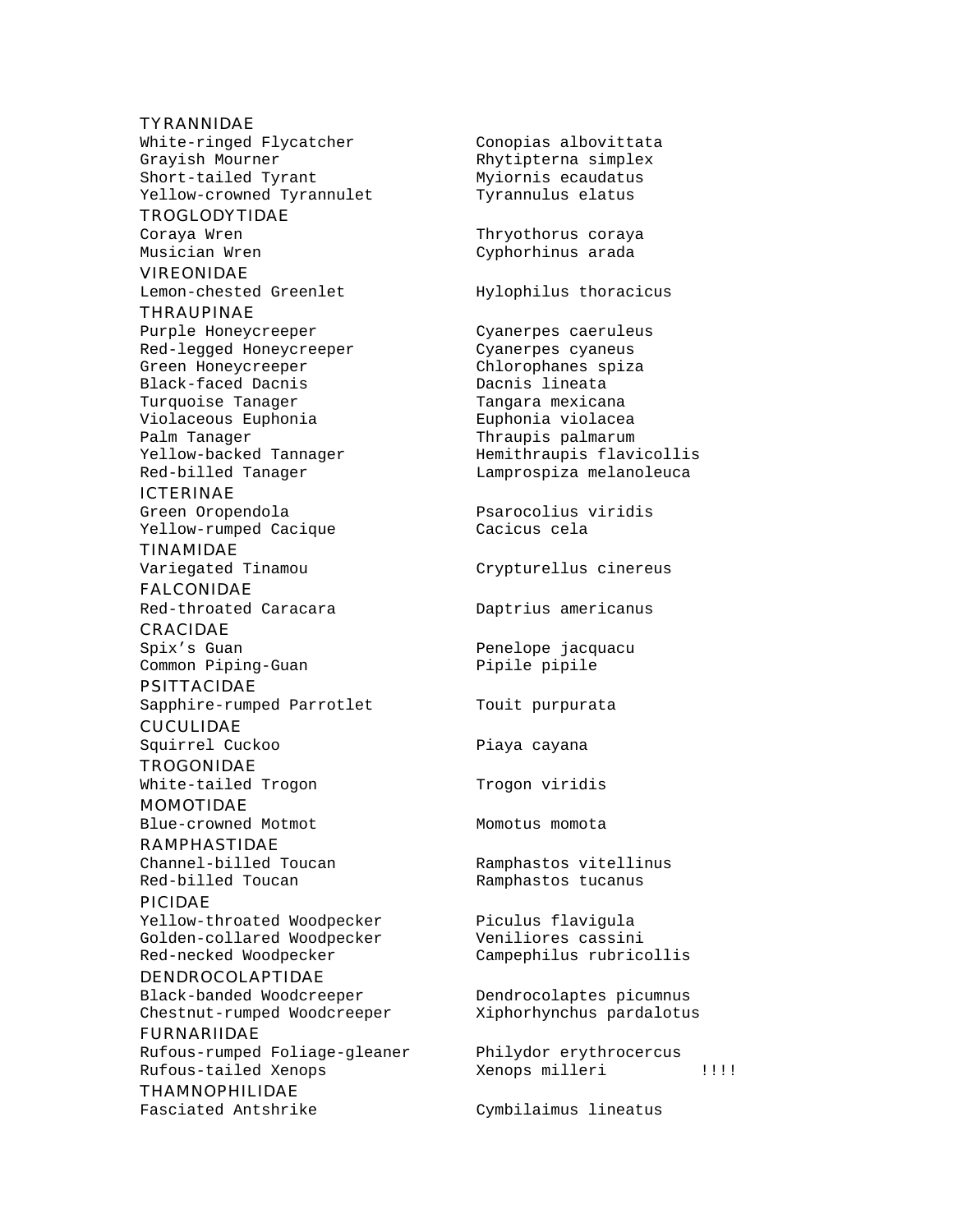#### **TYRANNIDAE** White-ringed Flycatcher Conopias albovittata Grayish Mourner The Rhytipterna simplex Short-tailed Tyrant Myiornis ecaudatus Yellow-crowned Tyrannulet Tyrannulus elatus

TROGLODYTIDAE

VIREONIDAE Lemon-chested Greenlet Hylophilus thoracicus

## THRAUPINAE Purple Honeycreeper Cyanerpes caeruleus Red-legged Honeycreeper Cyanerpes cyaneus Green Honeycreeper Chlorophanes spiza Black-faced Dacnis Turquoise Tanager Turquoise Tanager Violaceous Euphonia Euphonia violacea Palm Tanager Thraupis palmarum

# ICTERINAE

Yellow-rumped Cacique Cacicus cela TINAMIDAE

FALCONIDAE Red-throated Caracara **Daptrius** americanus

CRACIDAE

PSITTACIDAE Sapphire-rumped Parrotlet Touit purpurata

**CUCULIDAE** Squirrel Cuckoo **Piaya** cayana

TROGONIDAE White-tailed Trogon Trogon viridis

MOMOTIDAE Blue-crowned Motmot Momotus momota

RAMPHASTIDAE Red-billed Toucan Ramphastos tucanus

#### PICIDAE Yellow-throated Woodpecker Piculus flavigula Golden-collared Woodpecker Veniliores cassini Red-necked Woodpecker Campephilus rubricollis

DENDROCOLAPTIDAE Black-banded Woodcreeper Dendrocolaptes picumnus Chestnut-rumped Woodcreeper Xiphorhynchus pardalotus

FURNARIIDAE Rufous-rumped Foliage-gleaner Philydor erythrocercus Rufous-tailed Xenops Xenops milleri !!!!

THAMNOPHILIDAE

Coraya Wren Thryothorus coraya Musician Wren Cyphorhinus arada

Yellow-backed Tannager Hemithraupis flavicollis Red-billed Tanager Lamprospiza melanoleuca

Green Oropendola entre Psarocolius viridis

Variegated Tinamou Crypturellus cinereus

Spix's Guan **Penelope** jacquacu Common Piping-Guan Pipile pipile

Channel-billed Toucan Ramphastos vitellinus

Fasciated Antshrike Cymbilaimus lineatus